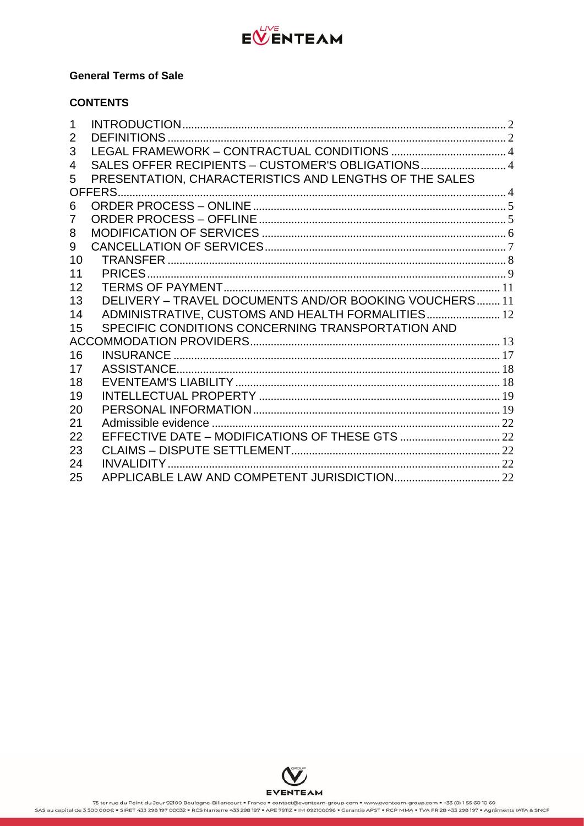

## **General Terms of Sale**

# **CONTENTS**

| 1  |                                                        |  |
|----|--------------------------------------------------------|--|
| 2  |                                                        |  |
| 3  |                                                        |  |
| 4  | SALES OFFER RECIPIENTS - CUSTOMER'S OBLIGATIONS 4      |  |
| 5  | PRESENTATION, CHARACTERISTICS AND LENGTHS OF THE SALES |  |
|    | OFFERS.                                                |  |
| 6  |                                                        |  |
| 7  |                                                        |  |
| 8  |                                                        |  |
| 9  |                                                        |  |
| 10 |                                                        |  |
| 11 |                                                        |  |
| 12 |                                                        |  |
| 13 | DELIVERY - TRAVEL DOCUMENTS AND/OR BOOKING VOUCHERS 11 |  |
| 14 | ADMINISTRATIVE, CUSTOMS AND HEALTH FORMALITIES 12      |  |
| 15 | SPECIFIC CONDITIONS CONCERNING TRANSPORTATION AND      |  |
|    |                                                        |  |
| 16 |                                                        |  |
| 17 |                                                        |  |
| 18 |                                                        |  |
| 19 |                                                        |  |
| 20 |                                                        |  |
| 21 |                                                        |  |
| 22 |                                                        |  |
| 23 |                                                        |  |
| 24 |                                                        |  |
| 25 |                                                        |  |

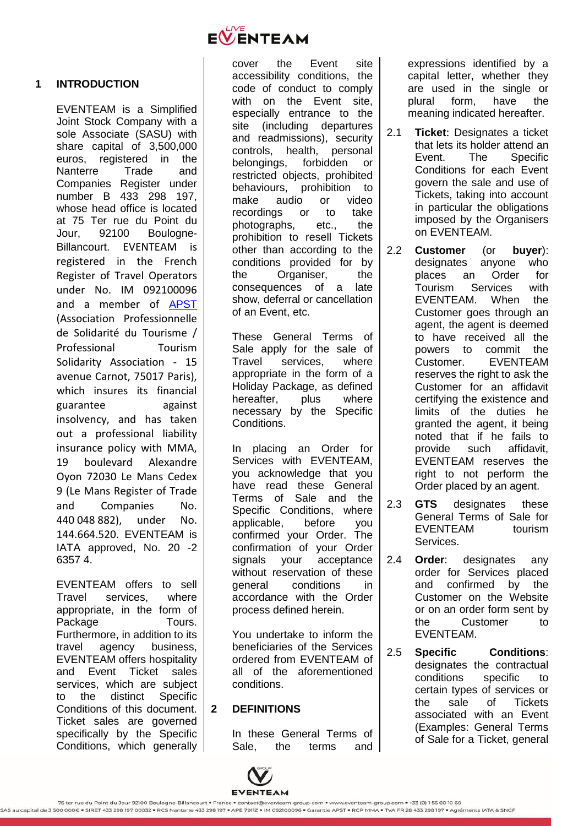

## <span id="page-1-0"></span>**1 INTRODUCTION**

EVENTEAM is a Simplified Joint Stock Company with a sole Associate (SASU) with share capital of 3,500,000 euros, registered in the Nanterre Trade and Companies Register under number B 433 298 197, whose head office is located at 75 Ter rue du Point du Jour, 92100 Boulogne-Billancourt. EVENTEAM is registered in the French Register of Travel Operators under No. IM 092100096 and a member of APST (Association Professionnelle de Solidarité du Tourisme / Professional Tourism Solidarity Association - 15 avenue Carnot, 75017 Paris), which insures its financial guarantee against insolvency, and has taken out a professional liability insurance policy with MMA, 19 boulevard Alexandre Oyon 72030 Le Mans Cedex 9 (Le Mans Register of Trade and Companies No. 440 048 882), under No. 144.664.520. EVENTEAM is IATA approved, No. 20 -2 6357 4.

EVENTEAM offers to sell Travel services, where appropriate, in the form of Package **Tours**. Furthermore, in addition to its travel agency business, EVENTEAM offers hospitality and Event Ticket sales services, which are subject to the distinct Specific Conditions of this document. Ticket sales are governed specifically by the Specific Conditions, which generally cover the Event site accessibility conditions, the code of conduct to comply with on the Event site, especially entrance to the site (including departures and readmissions), security controls, health, personal belongings, forbidden or restricted objects, prohibited behaviours, prohibition to make audio or video recordings or to take photographs, etc., the prohibition to resell Tickets other than according to the conditions provided for by the Organiser, the consequences of a late show, deferral or cancellation of an Event, etc.

These General Terms of Sale apply for the sale of Travel services, where appropriate in the form of a Holiday Package, as defined hereafter, plus where necessary by the Specific Conditions.

In placing an Order for Services with EVENTEAM, you acknowledge that you have read these General Terms of Sale and the Specific Conditions, where applicable, before you confirmed your Order. The confirmation of your Order signals your acceptance without reservation of these general conditions in accordance with the Order process defined herein.

You undertake to inform the beneficiaries of the Services ordered from EVENTEAM of all of the aforementioned conditions.

# <span id="page-1-1"></span>**2 DEFINITIONS**

In these General Terms of Sale, the terms and expressions identified by a capital letter, whether they are used in the single or plural form, have the meaning indicated hereafter.

- 2.1 **Ticket**: Designates a ticket that lets its holder attend an Event. The Specific Conditions for each Event govern the sale and use of Tickets, taking into account in particular the obligations imposed by the Organisers on EVENTEAM.
- 2.2 **Customer** (or **buyer**): designates anyone who places an Order for Tourism Services with EVENTEAM. When the Customer goes through an agent, the agent is deemed to have received all the powers to commit the Customer. EVENTEAM reserves the right to ask the Customer for an affidavit certifying the existence and limits of the duties he granted the agent, it being noted that if he fails to provide such affidavit, EVENTEAM reserves the right to not perform the Order placed by an agent.
- 2.3 **GTS** designates these General Terms of Sale for EVENTEAM tourism Services.
- 2.4 **Order**: designates any order for Services placed and confirmed by the Customer on the Website or on an order form sent by the Customer to EVENTEAM.
- 2.5 **Specific Conditions**: designates the contractual conditions specific to certain types of services or the sale of Tickets associated with an Event (Examples: General Terms of Sale for a Ticket, general

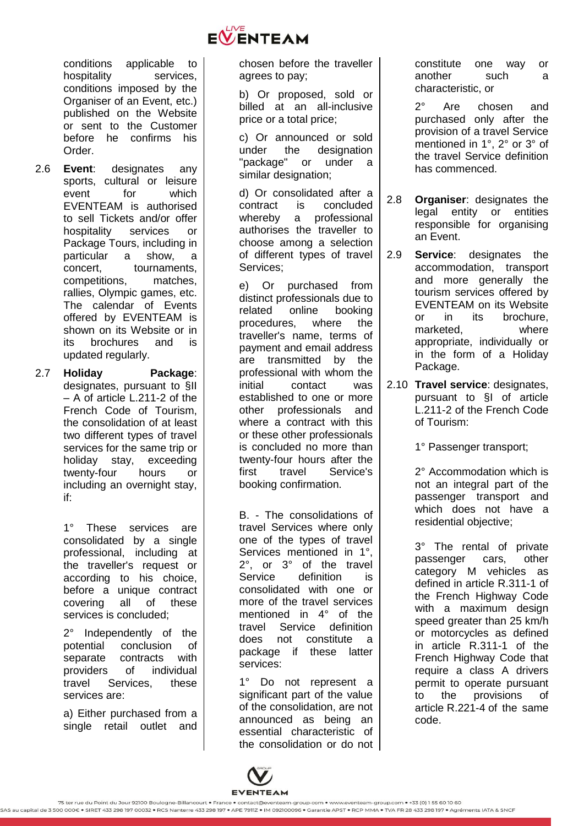

conditions applicable to hospitality services, conditions imposed by the Organiser of an Event, etc.) published on the Website or sent to the Customer before he confirms his Order.

2.6 **Event**: designates any sports, cultural or leisure event for which EVENTEAM is authorised to sell Tickets and/or offer hospitality services or Package Tours, including in particular a show, a concert. tournaments, competitions, matches, rallies, Olympic games, etc. The calendar of Events offered by EVENTEAM is shown on its Website or in its brochures and is updated regularly.

2.7 **Holiday Package**: designates, pursuant to §II – A of article L.211-2 of the French Code of Tourism, the consolidation of at least two different types of travel services for the same trip or holiday stay, exceeding twenty-four hours or including an overnight stay, if:

> 1° These services are consolidated by a single professional, including at the traveller's request or according to his choice, before a unique contract covering all of these services is concluded;

> 2° Independently of the potential conclusion of separate contracts with providers of individual travel Services, these services are:

a) Either purchased from a single retail outlet and chosen before the traveller agrees to pay;

b) Or proposed, sold or billed at an all-inclusive price or a total price;

c) Or announced or sold under the designation "package" or under a similar designation;

d) Or consolidated after a contract is concluded whereby a professional authorises the traveller to choose among a selection of different types of travel Services;

e) Or purchased from distinct professionals due to related online booking procedures, where the traveller's name, terms of payment and email address are transmitted by the professional with whom the initial contact was established to one or more other professionals and where a contract with this or these other professionals is concluded no more than twenty-four hours after the first travel Service's booking confirmation.

B. - The consolidations of travel Services where only one of the types of travel Services mentioned in 1°, 2°, or 3° of the travel Service definition is consolidated with one or more of the travel services mentioned in 4° of the travel Service definition does not constitute a package if these latter services:

1° Do not represent a significant part of the value of the consolidation, are not announced as being an essential characteristic of the consolidation or do not constitute one way or another such a characteristic, or

2° Are chosen and purchased only after the provision of a travel Service mentioned in 1°, 2° or 3° of the travel Service definition has commenced.

2.8 **Organiser**: designates the legal entity or entities responsible for organising an Event.

- 2.9 **Service**: designates the accommodation, transport and more generally the tourism services offered by EVENTEAM on its Website or in its brochure, marketed, where appropriate, individually or in the form of a Holiday Package.
- 2.10 **Travel service**: designates, pursuant to §I of article L.211-2 of the French Code of Tourism:

1° Passenger transport;

2° Accommodation which is not an integral part of the passenger transport and which does not have a residential objective;

3° The rental of private passenger cars, other category M vehicles as defined in article R.311-1 of the French Highway Code with a maximum design speed greater than 25 km/h or motorcycles as defined in article R.311-1 of the French Highway Code that require a class A drivers permit to operate pursuant to the provisions of article R.221-4 of the same code.

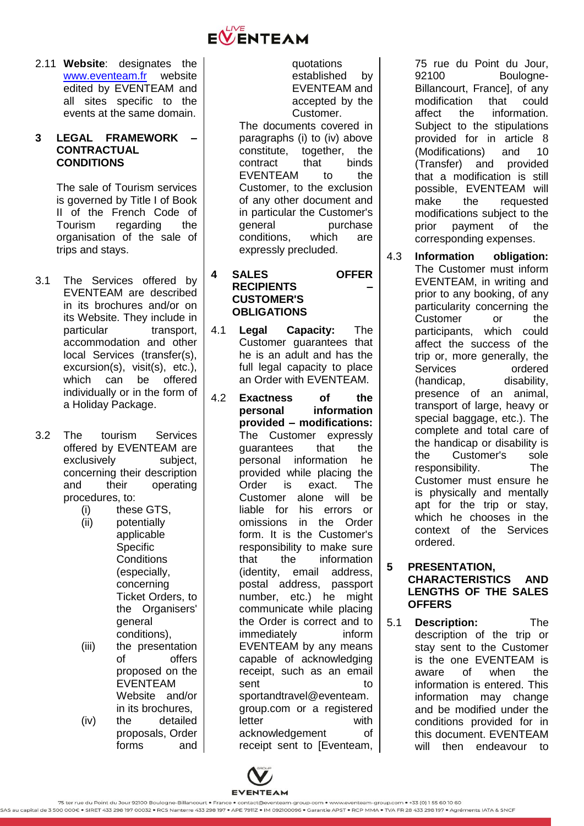

2.11 **Website**: designates the www.eventeam.fr website edited by EVENTEAM and all sites specific to the events at the same domain.

### <span id="page-3-0"></span>**3 LEGAL FRAMEWORK – CONTRACTUAL CONDITIONS**

The sale of Tourism services is governed by Title I of Book II of the French Code of Tourism regarding the organisation of the sale of trips and stays.

- 3.1 The Services offered by EVENTEAM are described in its brochures and/or on its Website. They include in particular transport. accommodation and other local Services (transfer(s), excursion(s), visit(s), etc.), which can be offered individually or in the form of a Holiday Package.
- 3.2 The tourism Services offered by EVENTEAM are exclusively subject, concerning their description and their operating procedures, to:
	- (i) these GTS, (ii) potentially applicable **Specific Conditions** (especially, concerning Ticket Orders, to the Organisers' general conditions), (iii) the presentation
	- of offers proposed on the EVENTEAM Website and/or in its brochures, (iv) the detailed
	- proposals, Order forms and

quotations established by EVENTEAM and accepted by the Customer.

The documents covered in paragraphs (i) to (iv) above constitute, together, the contract that binds EVENTEAM to the Customer, to the exclusion of any other document and in particular the Customer's general purchase conditions, which are expressly precluded.

- <span id="page-3-1"></span>**4 SALES OFFER RECIPIENTS – CUSTOMER'S OBLIGATIONS**
- 4.1 **Legal Capacity:** The Customer guarantees that he is an adult and has the full legal capacity to place an Order with EVENTEAM.
- 4.2 **Exactness of the personal information provided – modifications:** The Customer expressly guarantees that the personal information he provided while placing the Order is exact. The Customer alone will be liable for his errors or omissions in the Order form. It is the Customer's responsibility to make sure that the information (identity, email address, postal address, passport number, etc.) he might communicate while placing the Order is correct and to immediately inform EVENTEAM by any means capable of acknowledging receipt, such as an email sent to to sportandtravel@eventeam. group.com or a registered letter with acknowledgement of receipt sent to [Eventeam,

75 rue du Point du Jour, 92100 Boulogne-Billancourt, France], of any modification that could affect the information. Subject to the stipulations provided for in article [8](#page-5-0) (Modifications) and [10](#page-7-0) (Transfer) and provided that a modification is still possible, EVENTEAM will make the requested modifications subject to the prior payment of the corresponding expenses.

4.3 **Information obligation:** The Customer must inform EVENTEAM, in writing and prior to any booking, of any particularity concerning the Customer or the participants, which could affect the success of the trip or, more generally, the Services ordered (handicap, disability, presence of an animal, transport of large, heavy or special baggage, etc.). The complete and total care of the handicap or disability is the Customer's sole responsibility. The Customer must ensure he is physically and mentally apt for the trip or stay, which he chooses in the context of the Services ordered.

<span id="page-3-2"></span>**5 PRESENTATION, CHARACTERISTICS AND LENGTHS OF THE SALES OFFERS** 

5.1 **Description:** The description of the trip or stay sent to the Customer is the one EVENTEAM is aware of when the information is entered. This information may change and be modified under the conditions provided for in this document. EVENTEAM will then endeavour to

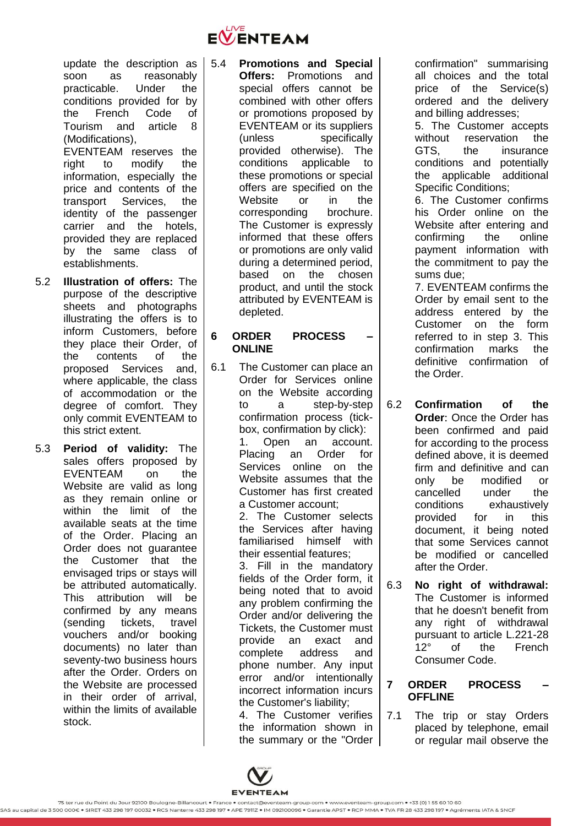

update the description as soon as reasonably practicable. Under the conditions provided for by the French Code of Tourism and article [8](#page-5-0) (Modifications),

EVENTEAM reserves the right to modify the information, especially the price and contents of the transport Services, the identity of the passenger carrier and the hotels, provided they are replaced by the same class of establishments.

- 5.2 **Illustration of offers:** The purpose of the descriptive sheets and photographs illustrating the offers is to inform Customers, before they place their Order, of the contents of the proposed Services and, where applicable, the class of accommodation or the degree of comfort. They only commit EVENTEAM to this strict extent.
- 5.3 **Period of validity:** The sales offers proposed by EVENTEAM on the Website are valid as long as they remain online or within the limit of the available seats at the time of the Order. Placing an Order does not guarantee the Customer that the envisaged trips or stays will be attributed automatically. This attribution will be confirmed by any means (sending tickets, travel vouchers and/or booking documents) no later than seventy-two business hours after the Order. Orders on the Website are processed in their order of arrival, within the limits of available stock.

#### <span id="page-4-2"></span>5.4 **Promotions and Special Offers:** Promotions and special offers cannot be combined with other offers or promotions proposed by EVENTEAM or its suppliers (unless specifically provided otherwise). The conditions applicable to these promotions or special offers are specified on the Website or in the corresponding brochure. The Customer is expressly informed that these offers or promotions are only valid during a determined period, based on the chosen product, and until the stock attributed by EVENTEAM is depleted.

# <span id="page-4-0"></span>**6 ORDER PROCESS – ONLINE**

6.1 The Customer can place an Order for Services online on the Website according to a step-by-step confirmation process (tickbox, confirmation by click): 1. Open an account. Placing an Order for Services online on the Website assumes that the Customer has first created a Customer account; 2. The Customer selects the Services after having familiarised himself with

> their essential features; 3. Fill in the mandatory fields of the Order form, it being noted that to avoid any problem confirming the Order and/or delivering the Tickets, the Customer must provide an exact and complete address and phone number. Any input error and/or intentionally incorrect information incurs the Customer's liability;

4. The Customer verifies the information shown in the summary or the "Order confirmation" summarising all choices and the total price of the Service(s) ordered and the delivery and billing addresses;

5. The Customer accepts without reservation the GTS, the insurance conditions and potentially the applicable additional Specific Conditions;

6. The Customer confirms his Order online on the Website after entering and confirming the online payment information with the commitment to pay the sums due;

7. EVENTEAM confirms the Order by email sent to the address entered by the Customer on the form referred to in step 3. This confirmation marks the definitive confirmation of the Order.

- 6.2 **Confirmation of the Order**: Once the Order has been confirmed and paid for according to the process defined above, it is deemed firm and definitive and can only be modified or cancelled under the conditions exhaustively provided for in this document, it being noted that some Services cannot be modified or cancelled after the Order.
- 6.3 **No right of withdrawal:**  The Customer is informed that he doesn't benefit from any right of withdrawal pursuant to article L.221-28 12° of the French Consumer Code.

## <span id="page-4-1"></span>**7 ORDER PROCESS – OFFLINE**

7.1 The trip or stay Orders placed by telephone, email or regular mail observe the

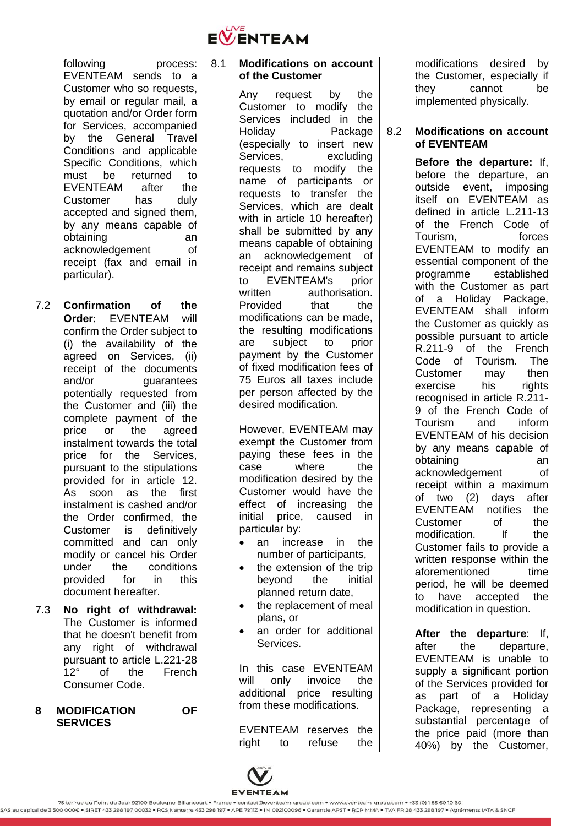

following process: EVENTEAM sends to a Customer who so requests, by email or regular mail, a quotation and/or Order form for Services, accompanied by the General Travel Conditions and applicable Specific Conditions, which must be returned to EVENTEAM after the Customer has duly accepted and signed them, by any means capable of obtaining an acknowledgement of receipt (fax and email in particular).

- 7.2 **Confirmation of the Order**: EVENTEAM will confirm the Order subject to (i) the availability of the agreed on Services, (ii) receipt of the documents and/or guarantees potentially requested from the Customer and (iii) the complete payment of the price or the agreed instalment towards the total price for the Services, pursuant to the stipulations provided for in article [12.](#page-10-0) As soon as the first instalment is cashed and/or the Order confirmed, the Customer is definitively committed and can only modify or cancel his Order under the conditions provided for in this document hereafter.
- 7.3 **No right of withdrawal:** The Customer is informed that he doesn't benefit from any right of withdrawal pursuant to article L.221-28 12° of the French Consumer Code.
- <span id="page-5-0"></span>**8 MODIFICATION OF SERVICES**

#### 8.1 **Modifications on account of the Customer**

Any request by the Customer to modify the Services included in the Holiday Package (especially to insert new Services, excluding requests to modify the name of participants or requests to transfer the Services, which are dealt with in article [10](#page-7-0) hereafter) shall be submitted by any means capable of obtaining an acknowledgement of receipt and remains subject to EVENTEAM's prior written authorisation. Provided that the modifications can be made, the resulting modifications are subject to prior payment by the Customer of fixed modification fees of 75 Euros all taxes include per person affected by the desired modification.

However, EVENTEAM may exempt the Customer from paying these fees in the case where the modification desired by the Customer would have the effect of increasing the initial price, caused in particular by:

- an increase in the number of participants,
- the extension of the trip beyond the initial planned return date,
- the replacement of meal plans, or
- an order for additional Services.

In this case EVENTEAM will only invoice the additional price resulting from these modifications.

EVENTEAM reserves the right to refuse the modifications desired by the Customer, especially if they cannot be implemented physically.

### 8.2 **Modifications on account of EVENTEAM**

**Before the departure:** If, before the departure, an outside event, imposing itself on EVENTEAM as defined in article L.211-13 of the French Code of Tourism, forces EVENTEAM to modify an essential component of the programme established with the Customer as part of a Holiday Package, EVENTEAM shall inform the Customer as quickly as possible pursuant to article R.211-9 of the French Code of Tourism. The Customer may then exercise his rights recognised in article R.211- 9 of the French Code of<br>Tourism and inform Tourism and inform EVENTEAM of his decision by any means capable of obtaining an acknowledgement of receipt within a maximum of two (2) days after EVENTEAM notifies the Customer of the modification. If the Customer fails to provide a written response within the aforementioned time period, he will be deemed to have accepted the modification in question.

**After the departure**: If, after the departure, EVENTEAM is unable to supply a significant portion of the Services provided for as part of a Holiday Package, representing a substantial percentage of the price paid (more than 40%) by the Customer,

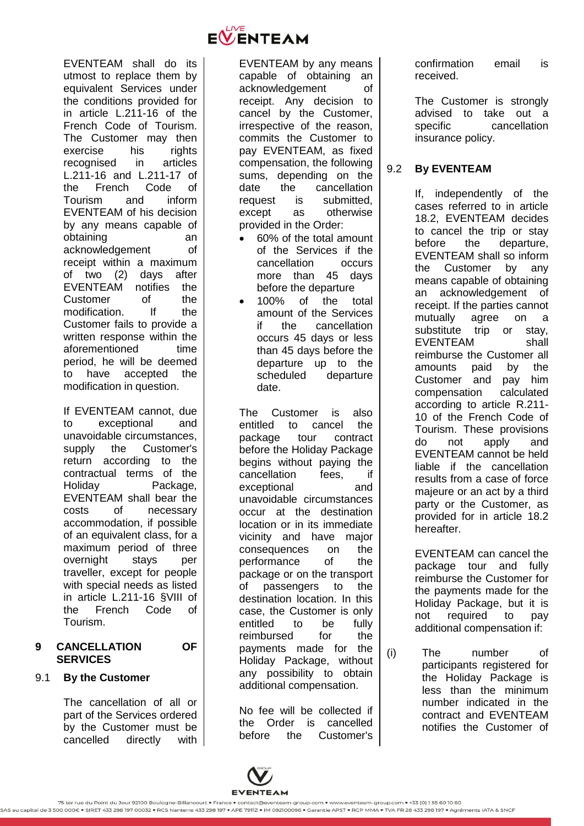

If EVENTEAM cannot, due to exceptional and unavoidable circumstances, supply the Customer's return according to the contractual terms of the Holiday Package, EVENTEAM shall bear the costs of necessary accommodation, if possible of an equivalent class, for a maximum period of three overnight stays per traveller, except for people with special needs as listed in article L.211-16 §VIII of the French Code of Tourism.

### <span id="page-6-0"></span>**9 CANCELLATION OF SERVICES**

### <span id="page-6-1"></span>9.1 **By the Customer**

The cancellation of all or part of the Services ordered by the Customer must be cancelled directly with



EVENTEAM by any means capable of obtaining an acknowledgement of receipt. Any decision to cancel by the Customer, irrespective of the reason, commits the Customer to pay EVENTEAM, as fixed compensation, the following sums, depending on the date the cancellation request is submitted, except as otherwise provided in the Order:

- 60% of the total amount of the Services if the cancellation occurs more than 45 days before the departure
- 100% of the total amount of the Services if the cancellation occurs 45 days or less than 45 days before the departure up to the scheduled departure date.

The Customer is also entitled to cancel the package tour contract before the Holiday Package begins without paying the cancellation fees, if exceptional and unavoidable circumstances occur at the destination location or in its immediate vicinity and have major consequences on the performance of the package or on the transport of passengers to the destination location. In this case, the Customer is only entitled to be fully reimbursed for the payments made for the Holiday Package, without any possibility to obtain additional compensation.

No fee will be collected if the Order is cancelled before the Customer's



The Customer is strongly advised to take out a specific cancellation insurance policy.

# 9.2 **By EVENTEAM**

If, independently of the cases referred to in article [18.2,](#page-17-2) EVENTEAM decides to cancel the trip or stay before the departure, EVENTEAM shall so inform the Customer by any means capable of obtaining an acknowledgement of receipt. If the parties cannot mutually agree on a substitute trip or stay. EVENTEAM shall reimburse the Customer all amounts paid by the Customer and pay him compensation calculated according to article R.211- 10 of the French Code of Tourism. These provisions do not apply and EVENTEAM cannot be held liable if the cancellation results from a case of force majeure or an act by a third party or the Customer, as provided for in article [18.2](#page-17-2) hereafter.

EVENTEAM can cancel the package tour and fully reimburse the Customer for the payments made for the Holiday Package, but it is not required to pay additional compensation if:

- 
- (i) The number of participants registered for the Holiday Package is less than the minimum number indicated in the contract and EVENTEAM notifies the Customer of

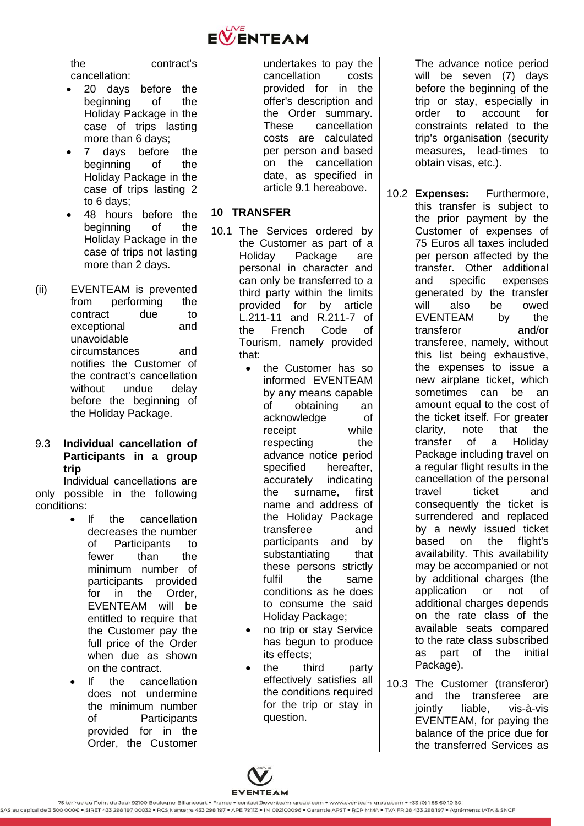

the contract's cancellation:

- 20 days before the beginning of the Holiday Package in the case of trips lasting more than 6 days;
- 7 days before the beginning of the Holiday Package in the case of trips lasting 2 to 6 days;
- 48 hours before the beginning of the Holiday Package in the case of trips not lasting more than 2 days.
- (ii) EVENTEAM is prevented from performing the contract due to exceptional and unavoidable circumstances and notifies the Customer of the contract's cancellation without undue delay before the beginning of the Holiday Package.

## 9.3 **Individual cancellation of Participants in a group trip**

Individual cancellations are only possible in the following conditions:

- If the cancellation decreases the number of Participants to fewer than the minimum number of participants provided for in the Order, EVENTEAM will be entitled to require that the Customer pay the full price of the Order when due as shown on the contract.
- If the cancellation does not undermine the minimum number of Participants provided for in the Order, the Customer

undertakes to pay the cancellation costs provided for in the offer's description and the Order summary. These cancellation costs are calculated per person and based on the cancellation date, as specified in article [9.1](#page-6-1) hereabove.

## <span id="page-7-0"></span>**10 TRANSFER**

- 10.1 The Services ordered by the Customer as part of a Holiday Package are personal in character and can only be transferred to a third party within the limits provided for by article L.211-11 and R.211-7 of the French Code of Tourism, namely provided that:
	- the Customer has so informed EVENTEAM by any means capable of obtaining an acknowledge of receipt while respecting the advance notice period specified hereafter, accurately indicating the surname, first name and address of the Holiday Package transferee and participants and by substantiating that these persons strictly fulfil the same conditions as he does to consume the said Holiday Package;
	- no trip or stay Service has begun to produce its effects;
	- the third party effectively satisfies all the conditions required for the trip or stay in question.

The advance notice period will be seven (7) days before the beginning of the trip or stay, especially in order to account for constraints related to the trip's organisation (security measures, lead-times to obtain visas, etc.).

- 10.2 **Expenses:** Furthermore, this transfer is subject to the prior payment by the Customer of expenses of 75 Euros all taxes included per person affected by the transfer. Other additional and specific expenses generated by the transfer will also be owed EVENTEAM by the transferor and/or transferee, namely, without this list being exhaustive, the expenses to issue a new airplane ticket, which sometimes can be an amount equal to the cost of the ticket itself. For greater clarity, note that the transfer of a Holiday Package including travel on a regular flight results in the cancellation of the personal travel ticket and consequently the ticket is surrendered and replaced by a newly issued ticket based on the flight's availability. This availability may be accompanied or not by additional charges (the application or not of additional charges depends on the rate class of the available seats compared to the rate class subscribed as part of the initial Package).
- 10.3 The Customer (transferor) and the transferee are jointly liable, vis-à-vis EVENTEAM, for paying the balance of the price due for the transferred Services as

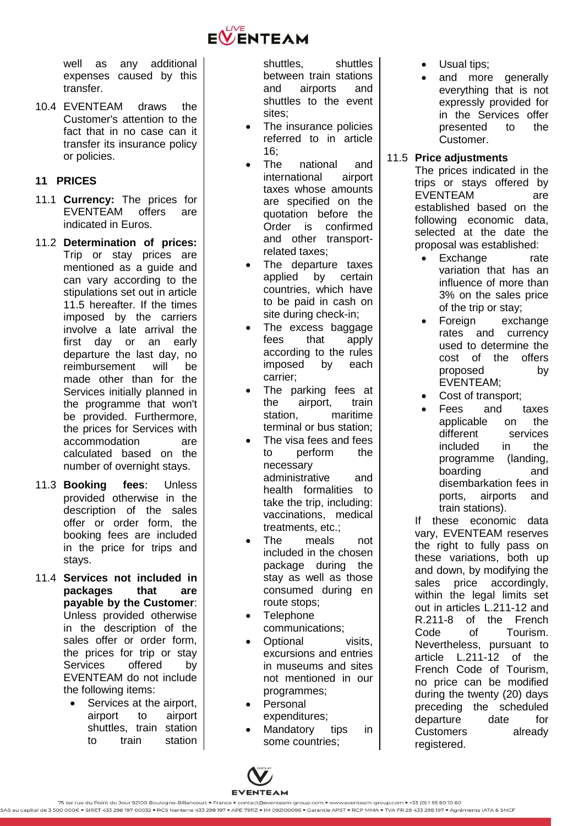

well as any additional expenses caused by this transfer.

10.4 EVENTEAM draws the Customer's attention to the fact that in no case can it transfer its insurance policy or policies.

## <span id="page-8-0"></span>**11 PRICES**

- 11.1 **Currency:** The prices for EVENTEAM offers are indicated in Euros.
- 11.2 **Determination of prices:** Trip or stay prices are mentioned as a guide and can vary according to the stipulations set out in article [11.5](#page-8-1) hereafter. If the times imposed by the carriers involve a late arrival the first day or an early departure the last day, no reimbursement will be made other than for the Services initially planned in the programme that won't be provided. Furthermore, the prices for Services with accommodation are calculated based on the number of overnight stays.
- 11.3 **Booking fees**: Unless provided otherwise in the description of the sales offer or order form, the booking fees are included in the price for trips and stays.
- 11.4 **Services not included in packages that are payable by the Customer**: Unless provided otherwise in the description of the sales offer or order form, the prices for trip or stay<br>Services offered by Services offered by EVENTEAM do not include the following items:
	- Services at the airport, airport to airport shuttles, train station to train station

shuttles, shuttles between train stations and airports and shuttles to the event sites;

- The insurance policies referred to in article  $16<sup>°</sup>$
- The national and international airport taxes whose amounts are specified on the quotation before the Order is confirmed and other transportrelated taxes;
- The departure taxes applied by certain countries, which have to be paid in cash on site during check-in;
- The excess baggage fees that apply according to the rules imposed by each carrier;
- The parking fees at the airport, train station, maritime terminal or bus station;
- The visa fees and fees to perform the necessary administrative and health formalities to take the trip, including: vaccinations, medical treatments, etc.;
- The meals not included in the chosen package during the stay as well as those consumed during en route stops;
- **Telephone** communications;
- Optional visits, excursions and entries in museums and sites not mentioned in our programmes;
- Personal expenditures;
- Mandatory tips in some countries;
- Usual tips;
- and more generally everything that is not expressly provided for in the Services offer presented to the Customer.

## <span id="page-8-1"></span>11.5 **Price adjustments**

The prices indicated in the trips or stays offered by EVENTEAM are established based on the following economic data, selected at the date the proposal was established:

- Exchange rate variation that has an influence of more than 3% on the sales price of the trip or stay;
- Foreign exchange rates and currency used to determine the cost of the offers proposed by EVENTEAM;
- Cost of transport;
- Fees and taxes applicable on the different services included in the programme (landing, boarding and disembarkation fees in ports, airports and train stations).

If these economic data vary, EVENTEAM reserves the right to fully pass on these variations, both up and down, by modifying the sales price accordingly, within the legal limits set out in articles L.211-12 and R.211-8 of the French Code of Tourism. Nevertheless, pursuant to article L.211-12 of the French Code of Tourism, no price can be modified during the twenty (20) days preceding the scheduled departure date for Customers already registered.

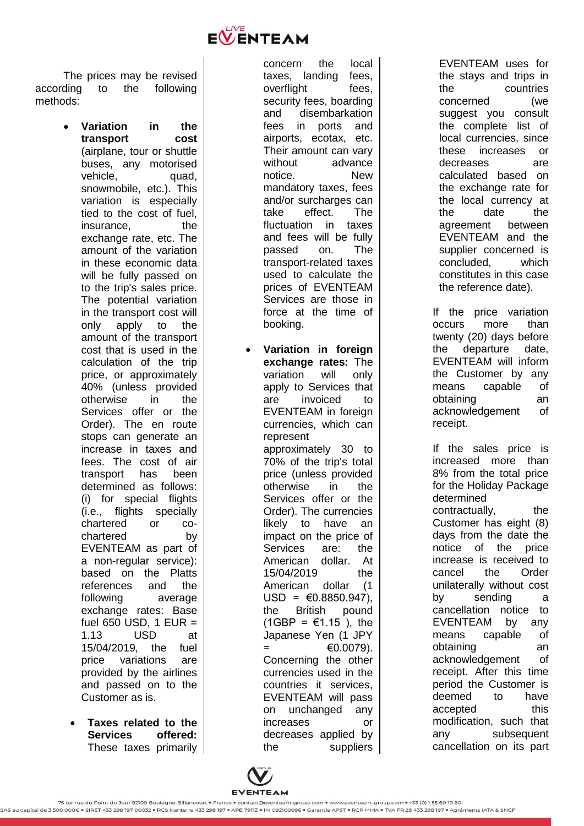

The prices may be revised according to the following methods:

- **Variation in the transport cost** (airplane, tour or shuttle buses, any motorised vehicle, quad, snowmobile, etc.). This variation is especially tied to the cost of fuel, insurance. the exchange rate, etc. The amount of the variation in these economic data will be fully passed on to the trip's sales price. The potential variation in the transport cost will only apply to the amount of the transport cost that is used in the calculation of the trip price, or approximately 40% (unless provided otherwise in the Services offer or the Order). The en route stops can generate an increase in taxes and fees. The cost of air transport has been determined as follows: (i) for special flights (i.e., flights specially chartered or  $CO$ chartered by EVENTEAM as part of a non -regular service): based on the Platts references and the following average exchange rates: Base fuel 650 USD, 1 EUR = 1.13 USD at 15/04/2019, the fuel price variations are provided by the airlines and passed on to the Customer as is.
- **Taxes related to the Services offered:** These taxes primarily

concern the local taxes, landing fees, overflight fees, security fees, boarding and disembarkation fees in ports and airports, ecotax, etc. Their amount can vary without advance notice. New mandatory taxes, fees and/or surcharges can take effect. The fluctuation in taxes and fees will be fully passed on. The transport -related taxes used to calculate the prices of EVENTEAM Services are those in force at the time of booking.

 **Variation in foreign exchange rates:** The variation will only apply to Services that are invoiced to EVENTEAM in foreign currencies, which can represent approximately 30 to 70% of the trip's total price (unless provided otherwise in the Services offer or the Order). The currencies likely to have an impact on the price of Services are: the American dollar. At 15/04/2019 the American dollar (1  $USD = \epsilon 0.8850.947$ . the British pound (1GBP = €1.15), the Japanese Yen (1 JPY  $=$   $\epsilon$ 0.0079). Concerning the other currencies used in the countries it services, EVENTEAM will pass on unchanged any increases or decreases applied by the suppliers

EVENTEAM uses for the stays and trips in the countries concerned (we suggest you consult the complete list of local currencies, since these increases or decreases are calculated based on the exchange rate for the local currency at the date the agreement between EVENTEAM and the supplier concerned is concluded, which constitutes in this case the reference date).

If the price variation occurs more than twenty (20) days before the departure date, EVENTEAM will inform the Customer by any means capable of obtaining an acknowledgement of receipt.

If the sales price is increased more than 8% from the total price for the Holiday Package determined contractually, the Customer has eight (8) days from the date the notice of the price increase is received to cancel the Order unilaterally without cost by sending a cancellation notice to EVENTEAM by any means capable of obtaining an acknowledgement of receipt. After this time period the Customer is deemed to have accepted this modification, such that any subsequent cancellation on its part

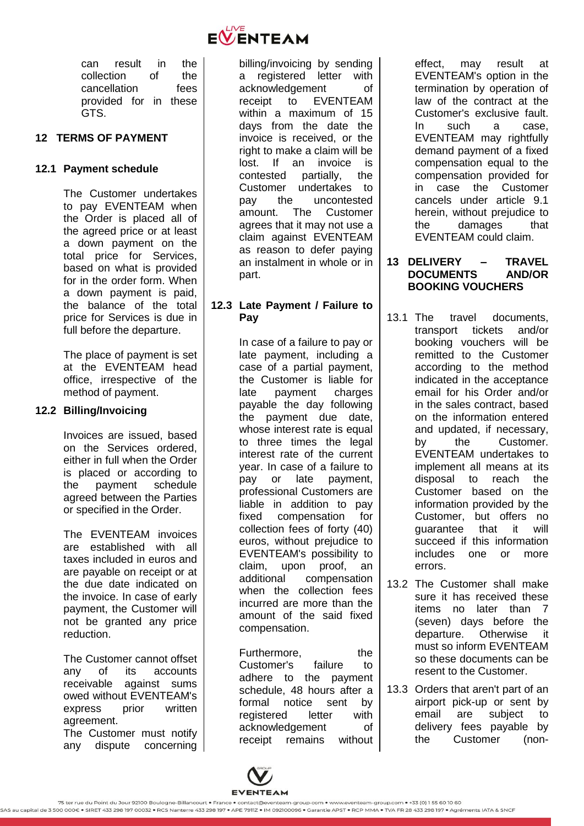

can result in the collection of the cancellation fees provided for in these GTS.

## <span id="page-10-0"></span>**12 TERMS OF PAYMENT**

## **12.1 Payment schedule**

The Customer undertakes to pay EVENTEAM when the Order is placed all of the agreed price or at least a down payment on the total price for Services, based on what is provided for in the order form. When a down payment is paid, the balance of the total price for Services is due in full before the departure.

The place of payment is set at the EVENTEAM head office, irrespective of the method of payment.

### **12.2 Billing/Invoicing**

Invoices are issued, based on the Services ordered, either in full when the Order is placed or according to the payment schedule agreed between the Parties or specified in the Order.

The EVENTEAM invoices are established with all taxes included in euros and are payable on receipt or at the due date indicated on the invoice. In case of early payment, the Customer will not be granted any price reduction.

The Customer cannot offset any of its accounts receivable against sums owed without EVENTEAM's express prior written agreement. The Customer must notify

any dispute concerning

billing/invoicing by sending a registered letter with acknowledgement of receipt to EVENTEAM within a maximum of 15 days from the date the invoice is received, or the right to make a claim will be lost. If an invoice is contested partially, the Customer undertakes to pay the uncontested amount. The Customer agrees that it may not use a claim against EVENTEAM as reason to defer paying an instalment in whole or in part.

## **12.3 Late Payment / Failure to Pay**

In case of a failure to pay or late payment, including a case of a partial payment, the Customer is liable for late payment charges payable the day following the payment due date, whose interest rate is equal to three times the legal interest rate of the current year. In case of a failure to pay or late payment, professional Customers are liable in addition to pay fixed compensation for collection fees of forty (40) euros, without prejudice to EVENTEAM's possibility to claim, upon proof, an additional compensation when the collection fees incurred are more than the amount of the said fixed compensation.

Furthermore, the Customer's failure to adhere to the payment schedule, 48 hours after a formal notice sent by registered letter with acknowledgement of receipt remains without effect, may result at EVENTEAM's option in the termination by operation of law of the contract at the Customer's exclusive fault. In such a case, EVENTEAM may rightfully demand payment of a fixed compensation equal to the compensation provided for in case the Customer cancels under article [9.1](#page-6-1) herein, without prejudice to the damages that EVENTEAM could claim.

### <span id="page-10-1"></span>**13 DELIVERY – TRAVEL DOCUMENTS BOOKING VOUCHERS**

- 13.1 The travel documents, transport tickets and/or booking vouchers will be remitted to the Customer according to the method indicated in the acceptance email for his Order and/or in the sales contract, based on the information entered and updated, if necessary, by the Customer. EVENTEAM undertakes to implement all means at its disposal to reach the Customer based on the information provided by the Customer, but offers no guarantee that it will succeed if this information includes one or more errors.
- 13.2 The Customer shall make sure it has received these items no later than 7 (seven) days before the departure. Otherwise it must so inform EVENTEAM so these documents can be resent to the Customer.
- 13.3 Orders that aren't part of an airport pick-up or sent by email are subject to delivery fees payable by the Customer (non-

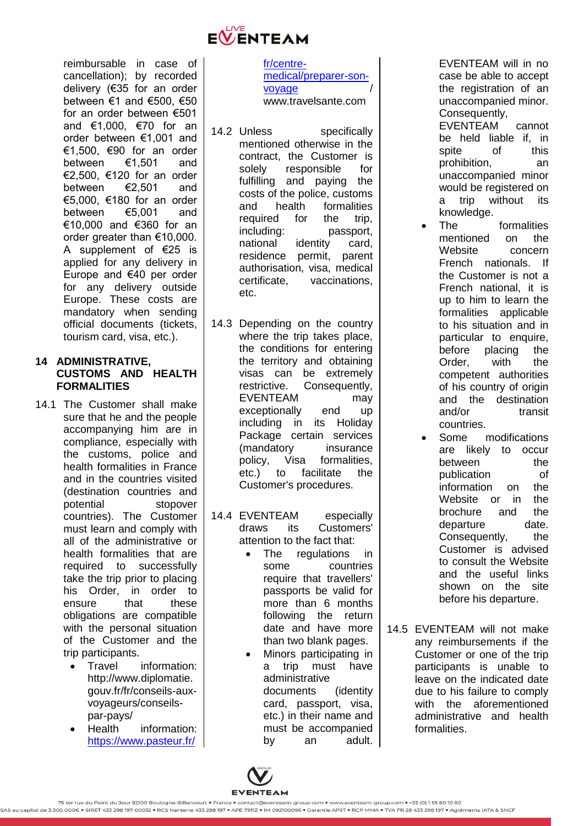

reimbursable in case of cancellation); by recorded delivery (€35 for an order between €1 and €500, €50 for an order between €501 and €1,000, €70 for an order between €1,001 and €1,500, €90 for an order between €1,501 and €2,500, €120 for an order between €2,501 and €5,000, €180 for an order between €5,001 and €10,000 and €360 for an order greater than €10,000. A supplement of €25 is applied for any delivery in Europe and €40 per order for any delivery outside Europe. These costs are mandatory when sending official documents (tickets, tourism card, visa, etc.).

## <span id="page-11-0"></span>**14 ADMINISTRATIVE, CUSTOMS AND HEALTH FORMALITIES**

- 14.1 The Customer shall make sure that he and the people accompanying him are in compliance, especially with the customs, police and health formalities in France and in the countries visited (destination countries and potential stopover countries). The Customer must learn and comply with all of the administrative or health formalities that are required to successfully take the trip prior to placing his Order, in order to ensure that these obligations are compatible with the personal situation of the Customer and the trip participants.
	- Travel information: http://www.diplomatie. gouv.fr/fr/conseils-auxvoyageurs/conseilspar-pays/
	- Health information: https://www.pasteur.fr/

fr/centremedical/preparer-sonvoyage www.travelsante.com

- 14.2 Unless specifically mentioned otherwise in the contract, the Customer is solely responsible for fulfilling and paying the costs of the police, customs and health formalities required for the trip, including: passport, national identity card, residence permit, parent authorisation, visa, medical certificate, vaccinations, etc.
- 14.3 Depending on the country where the trip takes place, the conditions for entering the territory and obtaining visas can be extremely restrictive. Consequently, EVENTEAM may exceptionally end up including in its Holiday Package certain services (mandatory insurance policy, Visa formalities, etc.) to facilitate the Customer's procedures.
- 14.4 EVENTEAM especially draws its Customers' attention to the fact that:
	- The regulations in some countries require that travellers' passports be valid for more than 6 months following the return date and have more than two blank pages.
	- Minors participating in a trip must have administrative documents (identity card, passport, visa, etc.) in their name and must be accompanied by an adult.

EVENTEAM will in no case be able to accept the registration of an unaccompanied minor. Consequently,

EVENTEAM cannot be held liable if, in spite of this prohibition, an unaccompanied minor would be registered on a trip without its knowledge.

- The formalities mentioned on the Website concern French nationals. If the Customer is not a French national, it is up to him to learn the formalities applicable to his situation and in particular to enquire, before placing the Order, with the competent authorities of his country of origin and the destination and/or transit countries.
- Some modifications are likely to occur between the publication of information on the Website or in the brochure and the departure date. Consequently, the Customer is advised to consult the Website and the useful links shown on the site before his departure.
- 14.5 EVENTEAM will not make any reimbursements if the Customer or one of the trip participants is unable to leave on the indicated date due to his failure to comply with the aforementioned administrative and health formalities.

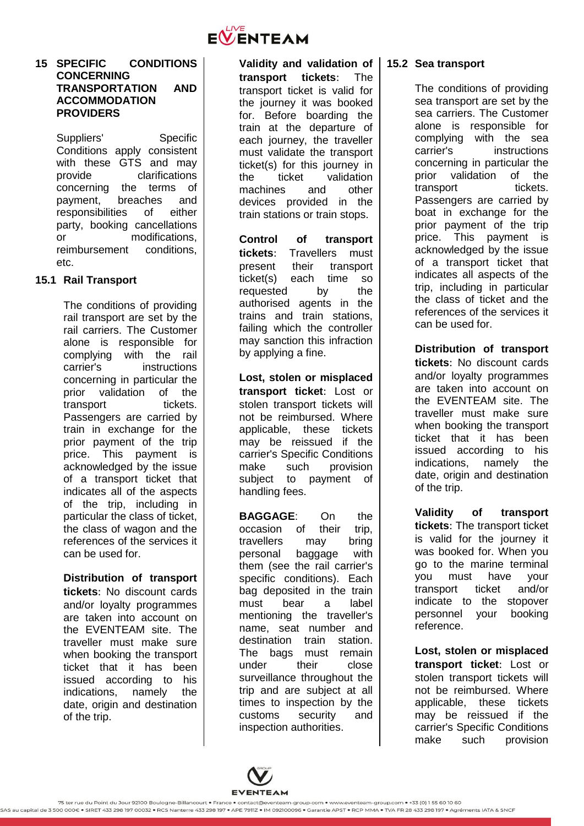

#### <span id="page-12-0"></span>**15 SPECIFIC CONDITIONS CONCERNING TRANSPORTATION AND ACCOMMODATION PROVIDERS**

Suppliers' Specific Conditions apply consistent with these GTS and may provide clarifications concerning the terms of payment, breaches and responsibilities of either party, booking cancellations or modifications, reimbursement conditions, etc.

# **15.1 Rail Transport**

The conditions of providing rail transport are set by the rail carriers. The Customer alone is responsible for complying with the rail carrier's instructions concerning in particular the prior validation of the transport tickets. Passengers are carried by train in exchange for the prior payment of the trip price. This payment is acknowledged by the issue of a transport ticket that indicates all of the aspects of the trip, including in particular the class of ticket, the class of wagon and the references of the services it can be used for.

**Distribution of transport tickets**: No discount cards and/or loyalty programmes are taken into account on the EVENTEAM site. The traveller must make sure when booking the transport ticket that it has been issued according to his indications, namely the date, origin and destination of the trip.

**Validity and validation of transport tickets**: The transport ticket is valid for the journey it was booked for. Before boarding the train at the departure of each journey, the traveller must validate the transport ticket(s) for this journey in the ticket validation machines and other devices provided in the train stations or train stops.

**Control of transport tickets**: Travellers must present their transport ticket(s) each time so requested by the authorised agents in the trains and train stations, failing which the controller may sanction this infraction by applying a fine.

**Lost, stolen or misplaced transport ticket**: Lost or stolen transport tickets will not be reimbursed. Where applicable, these tickets may be reissued if the carrier's Specific Conditions make such provision subject to payment of handling fees.

**BAGGAGE**: On the occasion of their trip, travellers may bring personal baggage with them (see the rail carrier's specific conditions). Each bag deposited in the train must bear a label mentioning the traveller's name, seat number and destination train station. The bags must remain under their close surveillance throughout the trip and are subject at all times to inspection by the customs security and inspection authorities.

### **15.2 Sea transport**

The conditions of providing sea transport are set by the sea carriers. The Customer alone is responsible for complying with the sea carrier's instructions concerning in particular the prior validation of the transport tickets. Passengers are carried by boat in exchange for the prior payment of the trip price. This payment is acknowledged by the issue of a transport ticket that indicates all aspects of the trip, including in particular the class of ticket and the references of the services it can be used for.

**Distribution of transport tickets**: No discount cards and/or loyalty programmes are taken into account on the EVENTEAM site. The traveller must make sure when booking the transport ticket that it has been issued according to his indications, namely the date, origin and destination of the trip.

**Validity of transport tickets**: The transport ticket is valid for the journey it was booked for. When you go to the marine terminal you must have your transport ticket and/or indicate to the stopover personnel your booking reference.

**Lost, stolen or misplaced transport ticket**: Lost or stolen transport tickets will not be reimbursed. Where applicable, these tickets may be reissued if the carrier's Specific Conditions make such provision

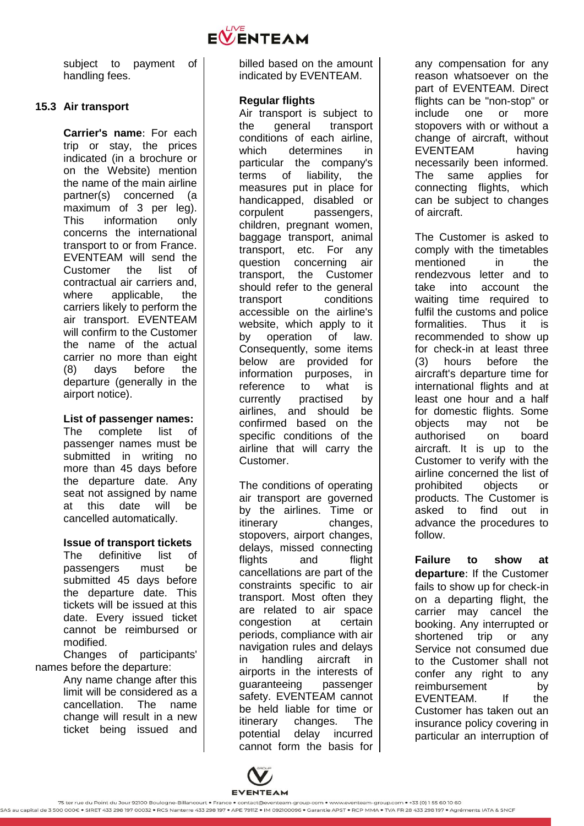

subject to payment of handling fees.

## **15.3 Air transport**

**Carrier's name**: For each trip or stay, the prices indicated (in a brochure or on the Website) mention the name of the main airline partner(s) concerned (a maximum of 3 per leg). This information only concerns the international transport to or from France. EVENTEAM will send the Customer the list of contractual air carriers and, where applicable, the carriers likely to perform the air transport. EVENTEAM will confirm to the Customer the name of the actual carrier no more than eight (8) days before the departure (generally in the airport notice).

**List of passenger names:**  The complete list of passenger names must be submitted in writing no more than 45 days before the departure date. Any seat not assigned by name at this date will be cancelled automatically.

**Issue of transport tickets** The definitive list of passengers must be submitted 45 days before the departure date. This tickets will be issued at this date. Every issued ticket cannot be reimbursed or modified.

Changes of participants' names before the departure:

Any name change after this limit will be considered as a cancellation. The name change will result in a new ticket being issued and

billed based on the amount indicated by EVENTEAM.

### **Regular flights**

Air transport is subject to the general transport conditions of each airline, which determines in particular the company's terms of liability, the measures put in place for handicapped, disabled or corpulent passengers, children, pregnant women, baggage transport, animal transport, etc. For any question concerning air transport, the Customer should refer to the general transport conditions accessible on the airline's website, which apply to it by operation of law. Consequently, some items below are provided for information purposes, in reference to what is currently practised by airlines, and should be confirmed based on the specific conditions of the airline that will carry the Customer.

The conditions of operating air transport are governed by the airlines. Time or itinerary changes, stopovers, airport changes, delays, missed connecting flights and flight cancellations are part of the constraints specific to air transport. Most often they are related to air space congestion at certain periods, compliance with air navigation rules and delays in handling aircraft in airports in the interests of guaranteeing passenger safety. EVENTEAM cannot be held liable for time or itinerary changes. The potential delay incurred cannot form the basis for any compensation for any reason whatsoever on the part of EVENTEAM. Direct flights can be "non-stop" or include one or more stopovers with or without a change of aircraft, without EVENTEAM having necessarily been informed. The same applies for connecting flights, which can be subject to changes of aircraft.

The Customer is asked to comply with the timetables mentioned in the rendezvous letter and to take into account the waiting time required to fulfil the customs and police formalities. Thus it is recommended to show up for check-in at least three (3) hours before the aircraft's departure time for international flights and at least one hour and a half for domestic flights. Some objects may not be authorised on board aircraft. It is up to the Customer to verify with the airline concerned the list of prohibited objects or products. The Customer is asked to find out in advance the procedures to follow.

**Failure to show at departure**: If the Customer fails to show up for check-in on a departing flight, the carrier may cancel the booking. Any interrupted or shortened trip or any Service not consumed due to the Customer shall not confer any right to any reimbursement by EVENTEAM. If the Customer has taken out an insurance policy covering in particular an interruption of

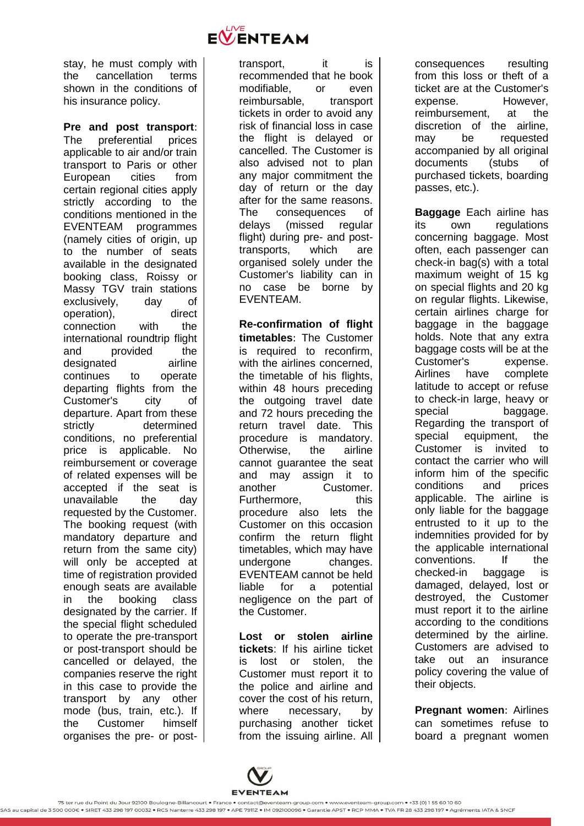

stay, he must comply with the cancellation terms shown in the conditions of his insurance policy.

**Pre and post transport**: The preferential prices applicable to air and/or train transport to Paris or other European cities from certain regional cities apply strictly according to the conditions mentioned in the EVENTEAM programmes (namely cities of origin, up to the number of seats available in the designated booking class, Roissy or Massy TGV train stations exclusively, day of operation), direct connection with the international roundtrip flight and provided the designated airline continues to operate departing flights from the Customer's city of departure. Apart from these strictly determined conditions, no preferential price is applicable. No reimbursement or coverage of related expenses will be accepted if the seat is unavailable the day requested by the Customer. The booking request (with mandatory departure and return from the same city) will only be accepted at time of registration provided enough seats are available in the booking class designated by the carrier. If the special flight scheduled to operate the pre-transport or post-transport should be cancelled or delayed, the companies reserve the right in this case to provide the transport by any other mode (bus, train, etc.). If the Customer himself organises the pre- or posttransport, it is recommended that he book modifiable, or even reimbursable, transport tickets in order to avoid any risk of financial loss in case the flight is delayed or cancelled. The Customer is also advised not to plan any major commitment the day of return or the day after for the same reasons. The consequences of delays (missed regular flight) during pre- and posttransports, which are organised solely under the Customer's liability can in no case be borne by EVENTEAM.

**Re-confirmation of flight timetables**: The Customer is required to reconfirm, with the airlines concerned. the timetable of his flights, within 48 hours preceding the outgoing travel date and 72 hours preceding the return travel date. This procedure is mandatory. Otherwise, the airline cannot guarantee the seat and may assign it to another Customer. Furthermore. this procedure also lets the Customer on this occasion confirm the return flight timetables, which may have undergone changes. EVENTEAM cannot be held liable for a potential negligence on the part of the Customer.

**Lost or stolen airline tickets**: If his airline ticket is lost or stolen, the Customer must report it to the police and airline and cover the cost of his return, where necessary, by purchasing another ticket from the issuing airline. All consequences resulting from this loss or theft of a ticket are at the Customer's<br>expense. However. expense. reimbursement, at the discretion of the airline, may be requested accompanied by all original documents (stubs of purchased tickets, boarding passes, etc.).

**Baggage** Each airline has its own regulations concerning baggage. Most often, each passenger can check-in bag(s) with a total maximum weight of 15 kg on special flights and 20 kg on regular flights. Likewise, certain airlines charge for baggage in the baggage holds. Note that any extra baggage costs will be at the Customer's expense. Airlines have complete latitude to accept or refuse to check-in large, heavy or special baggage. Regarding the transport of special equipment, the Customer is invited to contact the carrier who will inform him of the specific conditions and prices applicable. The airline is only liable for the baggage entrusted to it up to the indemnities provided for by the applicable international conventions. If the checked-in baggage is damaged, delayed, lost or destroyed, the Customer must report it to the airline according to the conditions determined by the airline. Customers are advised to take out an insurance policy covering the value of their objects.

**Pregnant women**: Airlines can sometimes refuse to board a pregnant women



<sup>.&</sup>lt;br>SAS au capital de 3.500.000€ • SIRET 433 298 197 00032 • RCS Nanterre 433 298 197 • APE 7911Z • IM 092100096 • Garantie APST • RCP MMA • TVA FR 28 433 298 197 • Agréments IATA & SNCF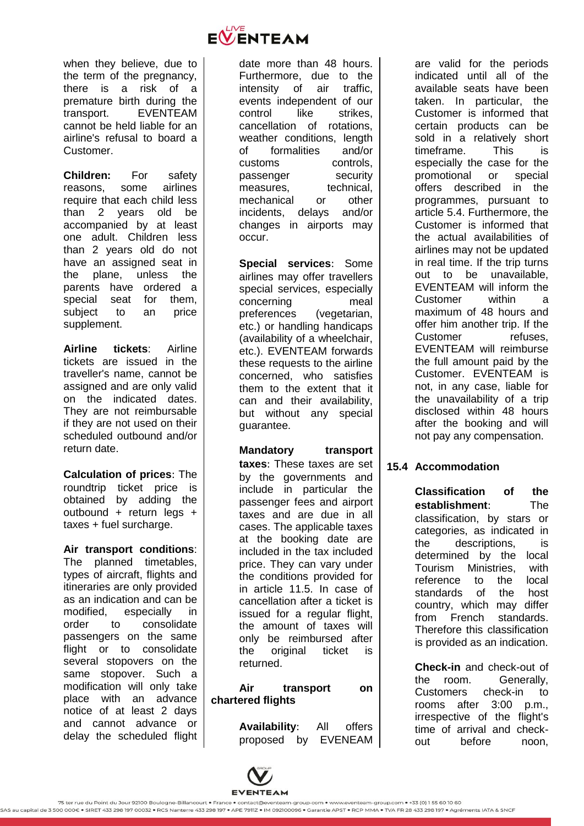

when they believe, due to the term of the pregnancy, there is a risk of a premature birth during the transport. EVENTEAM cannot be held liable for an airline's refusal to board a Customer.

**Children:** For safety reasons, some airlines require that each child less than 2 years old be accompanied by at least one adult. Children less than 2 years old do not have an assigned seat in the plane, unless the parents have ordered a special seat for them, subject to an price supplement.

**Airline tickets**: Airline tickets are issued in the traveller's name, cannot be assigned and are only valid on the indicated dates. They are not reimbursable if they are not used on their scheduled outbound and/or return date.

**Calculation of prices**: The roundtrip ticket price is obtained by adding the outbound + return legs + taxes + fuel surcharge.

**Air transport conditions**: The planned timetables, types of aircraft, flights and itineraries are only provided as an indication and can be modified, especially in order to consolidate passengers on the same flight or to consolidate several stopovers on the same stopover. Such a modification will only take place with an advance notice of at least 2 days and cannot advance or delay the scheduled flight

date more than 48 hours. Furthermore, due to the intensity of air traffic, events independent of our control like strikes. cancellation of rotations, weather conditions, length of formalities and/or customs controls, passenger security measures, technical, mechanical or other incidents, delays and/or changes in airports may occur.

**Special services**: Some airlines may offer travellers special services, especially concerning meal preferences (vegetarian, etc.) or handling handicaps (availability of a wheelchair, etc.). EVENTEAM forwards these requests to the airline concerned, who satisfies them to the extent that it can and their availability, but without any special guarantee.

**Mandatory transport taxes**: These taxes are set by the governments and include in particular the passenger fees and airport taxes and are due in all cases. The applicable taxes at the booking date are included in the tax included price. They can vary under the conditions provided for in article [11.5.](#page-8-1) In case of cancellation after a ticket is issued for a regular flight, the amount of taxes will only be reimbursed after the original ticket is returned.

**Air transport on chartered flights**

> **Availability**: All offers proposed by EVENEAM

are valid for the periods indicated until all of the available seats have been taken. In particular, the Customer is informed that certain products can be sold in a relatively short timeframe. This is especially the case for the promotional or special offers described in the programmes, pursuant to article [5.4.](#page-4-2) Furthermore, the Customer is informed that the actual availabilities of airlines may not be updated in real time. If the trip turns out to be unavailable, EVENTEAM will inform the Customer within a maximum of 48 hours and offer him another trip. If the Customer refuses. EVENTEAM will reimburse the full amount paid by the Customer. EVENTEAM is not, in any case, liable for the unavailability of a trip disclosed within 48 hours after the booking and will not pay any compensation.

# **15.4 Accommodation**

**Classification of the establishment**: The classification, by stars or categories, as indicated in the descriptions, is determined by the local Tourism Ministries, with reference to the local standards of the host country, which may differ from French standards. Therefore this classification is provided as an indication.

**Check-in** and check-out of the room. Generally, Customers check-in to rooms after 3:00 p.m., irrespective of the flight's time of arrival and checkout before noon,

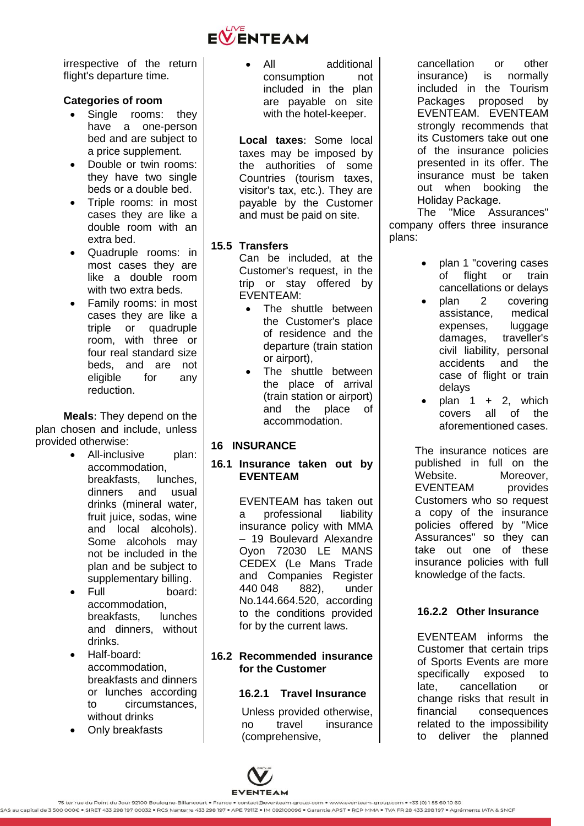

irrespective of the return flight's departure time.

## **Categories of room**

- Single rooms: they have a one-person bed and are subject to a price supplement.
- Double or twin rooms: they have two single beds or a double bed.
- Triple rooms: in most cases they are like a double room with an extra bed.
- Quadruple rooms: in most cases they are like a double room with two extra beds.
- Family rooms: in most cases they are like a triple or quadruple room, with three or four real standard size beds, and are not eligible for any reduction.

**Meals**: They depend on the plan chosen and include, unless provided otherwise:

- All-inclusive plan: accommodation, breakfasts, lunches, dinners and usual drinks (mineral water, fruit juice, sodas, wine and local alcohols). Some alcohols may not be included in the plan and be subject to supplementary billing.
- Full board: accommodation, breakfasts, lunches and dinners, without drinks.
- Half-board: accommodation, breakfasts and dinners or lunches according to circumstances, without drinks
- Only breakfasts

 All additional consumption not included in the plan are payable on site with the hotel-keeper.

**Local taxes**: Some local taxes may be imposed by the authorities of some Countries (tourism taxes, visitor's tax, etc.). They are payable by the Customer and must be paid on site.

## **15.5 Transfers**

Can be included, at the Customer's request, in the trip or stay offered by EVENTEAM:

- The shuttle between the Customer's place of residence and the departure (train station or airport),
- The shuttle between the place of arrival (train station or airport) and the place of accommodation.

# <span id="page-16-0"></span>**16 INSURANCE**

## **16.1 Insurance taken out by EVENTEAM**

EVENTEAM has taken out a professional liability insurance policy with MMA – 19 Boulevard Alexandre Oyon 72030 LE MANS CEDEX (Le Mans Trade and Companies Register 440 048 882), under No.144.664.520, according to the conditions provided for by the current laws.

## **16.2 Recommended insurance for the Customer**

### **16.2.1 Travel Insurance**

Unless provided otherwise, no travel insurance (comprehensive,

cancellation or other insurance) is normally included in the Tourism Packages proposed by EVENTEAM. EVENTEAM strongly recommends that its Customers take out one of the insurance policies presented in its offer. The insurance must be taken out when booking the Holiday Package.

The "Mice Assurances" company offers three insurance plans:

- plan 1 "covering cases of flight or train cancellations or delays
- plan 2 covering assistance, medical expenses, luggage damages, traveller's civil liability, personal accidents and the case of flight or train delays
- plan  $1 + 2$ , which covers all of the aforementioned cases.

The insurance notices are published in full on the Website. **Moreover**, EVENTEAM provides Customers who so request a copy of the insurance policies offered by "Mice Assurances" so they can take out one of these insurance policies with full knowledge of the facts.

# **16.2.2 Other Insurance**

EVENTEAM informs the Customer that certain trips of Sports Events are more specifically exposed to late, cancellation or change risks that result in financial consequences related to the impossibility to deliver the planned

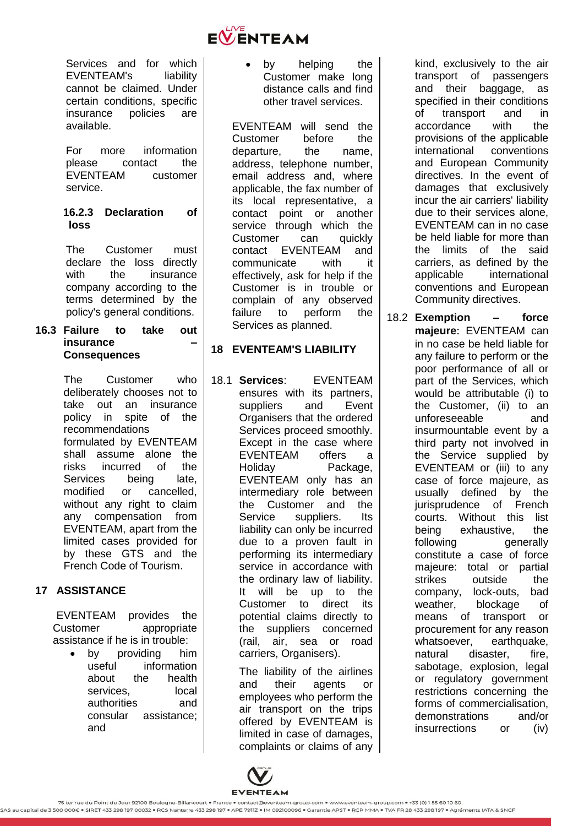

Services and for which EVENTEAM's liability cannot be claimed. Under certain conditions, specific insurance policies are available.

For more information please contact the EVENTEAM customer service.

### **16.2.3 Declaration of loss**

The Customer must declare the loss directly with the insurance company according to the terms determined by the policy's general conditions.

#### **16.3 Failure to take out insurance – Consequences**

The Customer who deliberately chooses not to take out an insurance policy in spite of the recommendations formulated by EVENTEAM shall assume alone the risks incurred of the Services being late, modified or cancelled, without any right to claim any compensation from EVENTEAM, apart from the limited cases provided for by these GTS and the French Code of Tourism.

# <span id="page-17-0"></span>**17 ASSISTANCE**

EVENTEAM provides the Customer appropriate assistance if he is in trouble:

 by providing him useful information about the health services. local authorities and consular assistance; and

• by helping the Customer make long distance calls and find other travel services.

EVENTEAM will send the Customer before the departure, the name, address, telephone number, email address and, where applicable, the fax number of its local representative, a contact point or another service through which the Customer can quickly contact EVENTEAM and communicate with it effectively, ask for help if the Customer is in trouble or complain of any observed failure to perform the Services as planned.

# <span id="page-17-1"></span>**18 EVENTEAM'S LIABILITY**

18.1 **Services**: EVENTEAM ensures with its partners, suppliers and Event Organisers that the ordered Services proceed smoothly. Except in the case where EVENTEAM offers a Holiday Package, EVENTEAM only has an intermediary role between the Customer and the Service suppliers. Its liability can only be incurred due to a proven fault in performing its intermediary service in accordance with the ordinary law of liability. It will be up to the Customer to direct its potential claims directly to the suppliers concerned (rail, air, sea or road carriers, Organisers).

> The liability of the airlines and their agents or employees who perform the air transport on the trips offered by EVENTEAM is limited in case of damages, complaints or claims of any

kind, exclusively to the air transport of passengers and their baggage, as specified in their conditions of transport and in accordance with the provisions of the applicable international conventions and European Community directives. In the event of damages that exclusively incur the air carriers' liability due to their services alone, EVENTEAM can in no case be held liable for more than the limits of the said carriers, as defined by the applicable international conventions and European Community directives.

<span id="page-17-2"></span>18.2 **Exemption – force majeure**: EVENTEAM can in no case be held liable for any failure to perform or the poor performance of all or part of the Services, which would be attributable (i) to the Customer, (ii) to an unforeseeable and insurmountable event by a third party not involved in the Service supplied by EVENTEAM or (iii) to any case of force majeure, as usually defined by the jurisprudence of French courts. Without this list being exhaustive, the following generally constitute a case of force majeure: total or partial strikes outside the company, lock-outs, bad weather, blockage of means of transport or procurement for any reason whatsoever, earthquake, natural disaster, fire, sabotage, explosion, legal or regulatory government restrictions concerning the forms of commercialisation, demonstrations and/or insurrections or (iv)

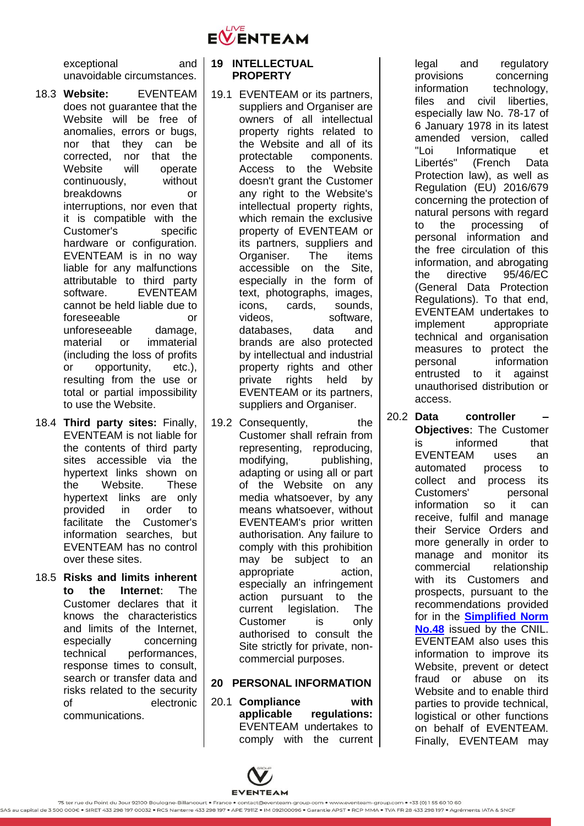

exceptional and unavoidable circumstances.

- 18.3 **Website:** EVENTEAM does not guarantee that the Website will be free of anomalies, errors or bugs, nor that they can be corrected, nor that the Website will operate continuously, without breakdowns or interruptions, nor even that it is compatible with the Customer's specific hardware or configuration. EVENTEAM is in no way liable for any malfunctions attributable to third party software. EVENTEAM cannot be held liable due to foreseeable or unforeseeable damage, material or immaterial (including the loss of profits or opportunity, etc.), resulting from the use or total or partial impossibility to use the Website.
- 18.4 **Third party sites:** Finally, EVENTEAM is not liable for the contents of third party sites accessible via the hypertext links shown on the Website. These hypertext links are only provided in order to facilitate the Customer's information searches, but EVENTEAM has no control over these sites.
- 18.5 **Risks and limits inherent to the Internet**: The Customer declares that it knows the characteristics and limits of the Internet, especially concerning technical performances, response times to consult, search or transfer data and risks related to the security of electronic communications.

#### <span id="page-18-0"></span>**19 INTELLECTUAL PROPERTY**

- 19.1 EVENTEAM or its partners, suppliers and Organiser are owners of all intellectual property rights related to the Website and all of its protectable components. Access to the Website doesn't grant the Customer any right to the Website's intellectual property rights, which remain the exclusive property of EVENTEAM or its partners, suppliers and Organiser. The items accessible on the Site, especially in the form of text, photographs, images, icons, cards, sounds, videos, software, databases, data and brands are also protected by intellectual and industrial property rights and other private rights held by EVENTEAM or its partners, suppliers and Organiser.
- 19.2 Consequently, the Customer shall refrain from representing, reproducing, modifying, publishing, adapting or using all or part of the Website on any media whatsoever, by any means whatsoever, without EVENTEAM's prior written authorisation. Any failure to comply with this prohibition may be subject to an appropriate action, especially an infringement action pursuant to the current legislation. The Customer is only authorised to consult the Site strictly for private, noncommercial purposes.

# <span id="page-18-1"></span>**20 PERSONAL INFORMATION**

20.1 **Compliance with applicable regulations:** EVENTEAM undertakes to comply with the current legal and regulatory provisions concerning information technology. files and civil liberties, especially law No. 78-17 of 6 January 1978 in its latest amended version, called "Loi Informatique et Libertés" (French Data Protection law), as well as Regulation (EU) 2016/679 concerning the protection of natural persons with regard to the processing of personal information and the free circulation of this information, and abrogating the directive 95/46/EC (General Data Protection Regulations). To that end, EVENTEAM undertakes to implement appropriate technical and organisation measures to protect the personal information entrusted to it against unauthorised distribution or access.

20.2 **Data controller – Objectives**: The Customer is informed that EVENTEAM uses an automated process to collect and process its Customers' personal information so it can receive, fulfil and manage their Service Orders and more generally in order to manage and monitor its commercial relationship with its Customers and prospects, pursuant to the recommendations provided for in the **Simplified Norm No.48** issued by the CNIL. EVENTEAM also uses this information to improve its Website, prevent or detect fraud or abuse on its Website and to enable third parties to provide technical, logistical or other functions on behalf of EVENTEAM. Finally, EVENTEAM may

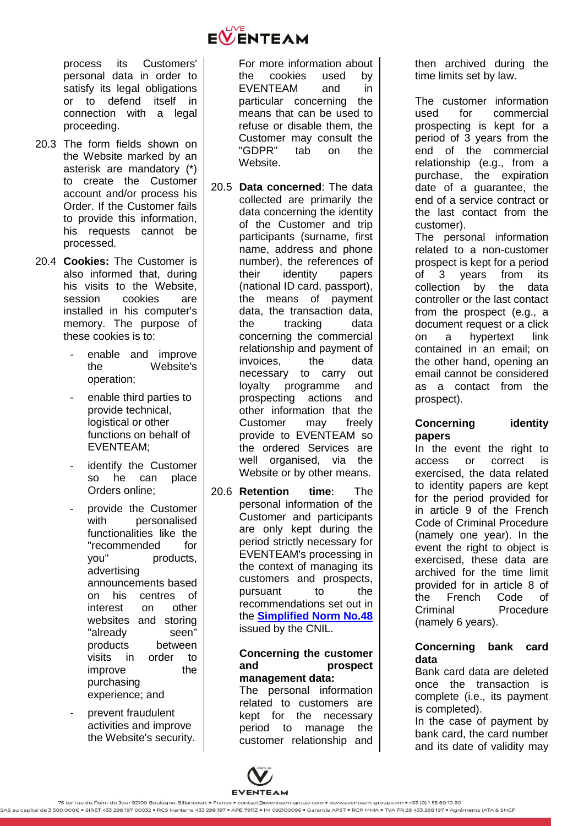

process its Customers' personal data in order to satisfy its legal obligations or to defend itself in connection with a legal proceeding.

- 20.3 The form fields shown on the Website marked by an asterisk are mandatory (\*) to create the Customer account and/or process his Order. If the Customer fails to provide this information, his requests cannot be processed.
- 20.4 **Cookies:** The Customer is also informed that, during his visits to the Website session cookies are installed in his computer's memory. The purpose of these cookies is to:
	- enable and improve the Website's operation;
	- enable third parties to provide technical, logistical or other functions on behalf of EVENTEAM;
	- identify the Customer so he can place Orders online;
	- provide the Customer with personalised functionalities like the "recommended for you" products, advertising announcements based on his centres of interest on other websites and storing "already seen" products between visits in order to improve the purchasing experience; and
	- prevent fraudulent activities and improve the Website's security.

For more information about the cookies used by EVENTEAM and in particular concerning the means that can be used to refuse or disable them, the Customer may consult the "GDPR" tab on the Website.

- 20.5 **Data concerned**: The data collected are primarily the data concerning the identity of the Customer and trip participants (surname, first name, address and phone number), the references of their identity papers (national ID card, passport), the means of payment data, the transaction data, the tracking data concerning the commercial relationship and payment of invoices, the data necessary to carry out loyalty programme and prospecting actions and other information that the Customer may freely provide to EVENTEAM so the ordered Services are well organised, via the Website or by other means.
- 20.6 **Retention time**: The personal information of the Customer and participants are only kept during the period strictly necessary for EVENTEAM's processing in the context of managing its customers and prospects, pursuant to the recommendations set out in the **Simplified Norm No.48** issued by the CNIL.

#### **Concerning the customer and prospect management data:**

The personal information related to customers are kept for the necessary period to manage the customer relationship and then archived during the time limits set by law.

The customer information used for commercial prospecting is kept for a period of 3 years from the end of the commercial relationship (e.g., from a purchase, the expiration date of a guarantee, the end of a service contract or the last contact from the customer).

The personal information related to a non-customer prospect is kept for a period of 3 years from its collection by the data controller or the last contact from the prospect (e.g., a document request or a click on a hypertext link contained in an email; on the other hand, opening an email cannot be considered as a contact from the prospect).

# **Concerning identity papers**

In the event the right to access or correct is exercised, the data related to identity papers are kept for the period provided for in article 9 of the French Code of Criminal Procedure (namely one year). In the event the right to object is exercised, these data are archived for the time limit provided for in article 8 of the French Code of Criminal Procedure (namely 6 years).

## **Concerning bank card data**

Bank card data are deleted once the transaction is complete (i.e., its payment is completed).

In the case of payment by bank card, the card number and its date of validity may

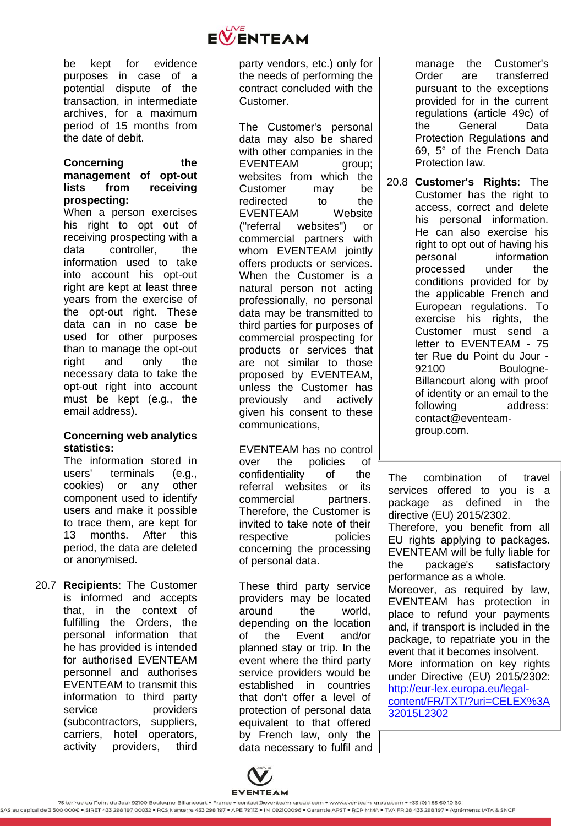

be kept for evidence purposes in case of a potential dispute of the transaction, in intermediate archives, for a maximum period of 15 months from the date of debit.

#### **Concerning the management of opt-out lists from receiving prospecting:**

When a person exercises his right to opt out of receiving prospecting with a data controller, the information used to take into account his opt-out right are kept at least three years from the exercise of the opt-out right. These data can in no case be used for other purposes than to manage the opt-out right and only the necessary data to take the opt-out right into account must be kept (e.g., the email address).

### **Concerning web analytics statistics:**

The information stored in users' terminals (e.g., cookies) or any other component used to identify users and make it possible to trace them, are kept for 13 months. After this period, the data are deleted or anonymised.

20.7 **Recipients**: The Customer is informed and accepts that, in the context of fulfilling the Orders, the personal information that he has provided is intended for authorised EVENTEAM personnel and authorises EVENTEAM to transmit this information to third party service providers (subcontractors, suppliers, carriers, hotel operators, activity providers, third party vendors, etc.) only for the needs of performing the contract concluded with the Customer.

The Customer's personal data may also be shared with other companies in the EVENTEAM group; websites from which the Customer may be redirected to the EVENTEAM Website ("referral websites") or commercial partners with whom EVENTEAM jointly offers products or services. When the Customer is a natural person not acting professionally, no personal data may be transmitted to third parties for purposes of commercial prospecting for products or services that are not similar to those proposed by EVENTEAM, unless the Customer has previously and actively given his consent to these communications,

EVENTEAM has no control over the policies of confidentiality of the referral websites or its commercial partners. Therefore, the Customer is invited to take note of their respective policies concerning the processing of personal data.

These third party service providers may be located around the world, depending on the location of the Event and/or planned stay or trip. In the event where the third party service providers would be established in countries that don't offer a level of protection of personal data equivalent to that offered by French law, only the data necessary to fulfil and manage the Customer's Order are transferred pursuant to the exceptions provided for in the current regulations (article 49c) of the General Data Protection Regulations and 69, 5° of the French Data Protection law.

20.8 **Customer's Rights**: The Customer has the right to access, correct and delete his personal information. He can also exercise his right to opt out of having his personal information processed under the conditions provided for by the applicable French and European regulations. To exercise his rights, the Customer must send a letter to EVENTEAM - 75 ter Rue du Point du Jour - 92100 Boulogne-Billancourt along with proof of identity or an email to the following address: contact@eventeamgroup.com.

The combination of travel services offered to you is a package as defined in the directive (EU) 2015/2302. Therefore, you benefit from all EU rights applying to packages. EVENTEAM will be fully liable for the package's satisfactory performance as a whole. Moreover, as required by law, EVENTEAM has protection in place to refund your payments and, if transport is included in the package, to repatriate you in the event that it becomes insolvent. More information on key rights under Directive (EU) 2015/2302: http://eur-lex.europa.eu/legalcontent/FR/TXT/?uri=CELEX%3A 32015L2302

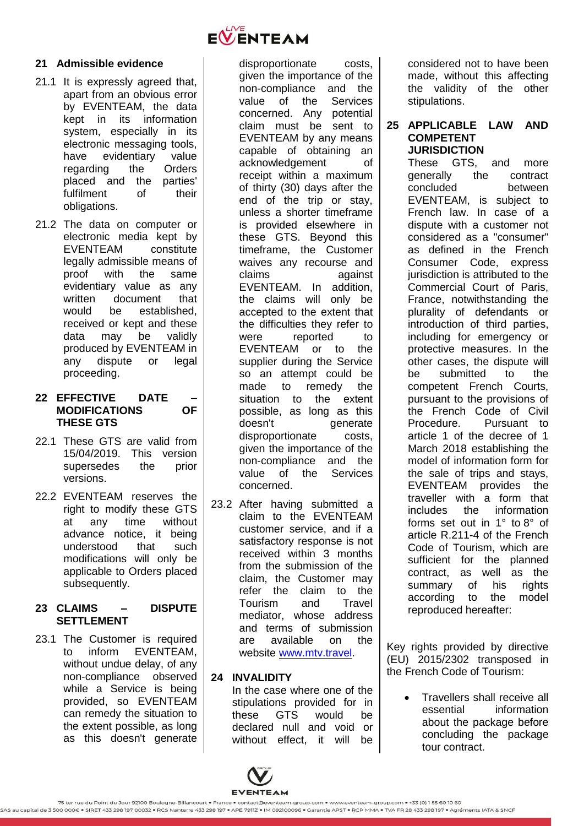### <span id="page-21-0"></span>**21 Admissible evidence**

- 21.1 It is expressly agreed that, apart from an obvious error by EVENTEAM, the data kept in its information system, especially in its electronic messaging tools, have evidentiary value regarding the Orders placed and the parties' fulfilment of their obligations.
- 21.2 The data on computer or electronic media kept by EVENTEAM constitute legally admissible means of proof with the same evidentiary value as any<br>written document that document that would be established, received or kept and these data may be validly produced by EVENTEAM in any dispute or legal proceeding.

### <span id="page-21-1"></span>**22 EFFECTIVE DATE – MODIFICATIONS OF THESE GTS**

- 22.1 These GTS are valid from 15/04/2019. This version supersedes the prior versions.
- 22.2 EVENTEAM reserves the right to modify these GTS<br>at any time without at any time without advance notice, it being understood that such modifications will only be applicable to Orders placed subsequently.

### <span id="page-21-2"></span>**23 CLAIMS – DISPUTE SETTLEMENT**

23.1 The Customer is required to inform EVENTEAM, without undue delay, of any non-compliance observed while a Service is being provided, so EVENTEAM can remedy the situation to the extent possible, as long as this doesn't generate



disproportionate costs, given the importance of the non-compliance and the value of the Services concerned. Any potential claim must be sent to EVENTEAM by any means capable of obtaining an acknowledgement of receipt within a maximum of thirty (30) days after the end of the trip or stav. unless a shorter timeframe is provided elsewhere in these GTS. Beyond this timeframe, the Customer waives any recourse and claims against EVENTEAM. In addition, the claims will only be accepted to the extent that the difficulties they refer to were reported to EVENTEAM or to the supplier during the Service so an attempt could be made to remedy the situation to the extent possible, as long as this doesn't generate disproportionate costs, given the importance of the non-compliance and the value of the Services concerned.

23.2 After having submitted a claim to the EVENTEAM customer service, and if a satisfactory response is not received within 3 months from the submission of the claim, the Customer may refer the claim to the Tourism and Travel mediator, whose address and terms of submission are available on the website www.mtv.travel.

#### <span id="page-21-3"></span>**24 INVALIDITY**

In the case where one of the stipulations provided for in these GTS would be declared null and void or without effect, it will be

considered not to have been made, without this affecting the validity of the other stipulations.

### <span id="page-21-4"></span>**25 APPLICABLE LAW AND COMPETENT JURISDICTION**

These GTS, and more generally the contract concluded between EVENTEAM, is subject to French law. In case of a dispute with a customer not considered as a "consumer" as defined in the French Consumer Code, express jurisdiction is attributed to the Commercial Court of Paris, France, notwithstanding the plurality of defendants or introduction of third parties, including for emergency or protective measures. In the other cases, the dispute will be submitted to the competent French Courts, pursuant to the provisions of the French Code of Civil Procedure. Pursuant to article 1 of the decree of 1 March 2018 establishing the model of information form for the sale of trips and stays, EVENTEAM provides the traveller with a form that includes the information forms set out in 1° to 8° of article R.211-4 of the French Code of Tourism, which are sufficient for the planned contract, as well as the summary of his rights according to the model reproduced hereafter:

Key rights provided by directive (EU) 2015/2302 transposed in the French Code of Tourism:

> Travellers shall receive all essential information about the package before concluding the package tour contract.